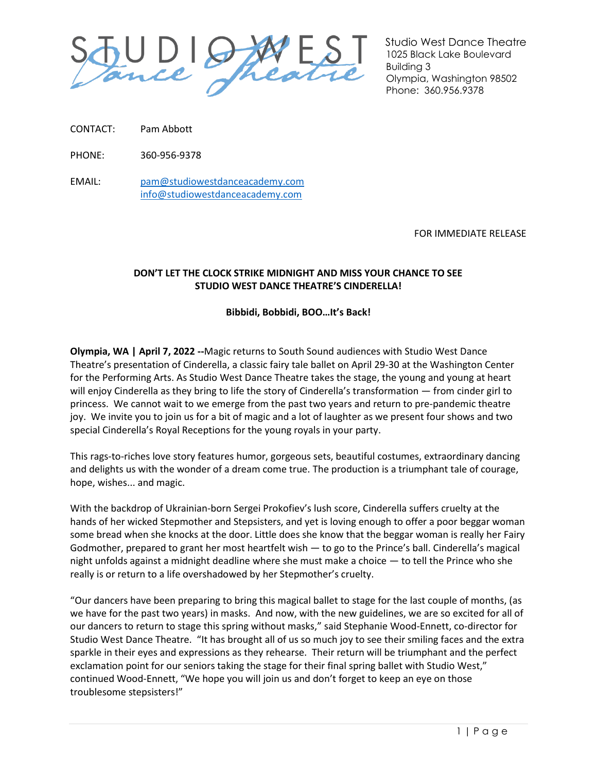

Studio West Dance Theatre 1025 Black Lake Boulevard Building 3 Olympia, Washington 98502 Phone: 360.956.9378

CONTACT: Pam Abbott

PHONE: 360-956-9378

EMAIL: [pam@studiowestdanceacademy.com](mailto:pam@studiowestdanceacademy.com) [info@studiowestdanceacademy.com](mailto:info@studiowestdanceacademy.com)

FOR IMMEDIATE RELEASE

## **DON'T LET THE CLOCK STRIKE MIDNIGHT AND MISS YOUR CHANCE TO SEE STUDIO WEST DANCE THEATRE'S CINDERELLA!**

## **Bibbidi, Bobbidi, BOO…It's Back!**

**Olympia, WA | April 7, 2022 --**Magic returns to South Sound audiences with Studio West Dance Theatre's presentation of Cinderella, a classic fairy tale ballet on April 29-30 at the Washington Center for the Performing Arts. As Studio West Dance Theatre takes the stage, the young and young at heart will enjoy Cinderella as they bring to life the story of Cinderella's transformation — from cinder girl to princess. We cannot wait to we emerge from the past two years and return to pre-pandemic theatre joy. We invite you to join us for a bit of magic and a lot of laughter as we present four shows and two special Cinderella's Royal Receptions for the young royals in your party.

This rags-to-riches love story features humor, gorgeous sets, beautiful costumes, extraordinary dancing and delights us with the wonder of a dream come true. The production is a triumphant tale of courage, hope, wishes... and magic.

With the backdrop of Ukrainian-born Sergei Prokofiev's lush score, Cinderella suffers cruelty at the hands of her wicked Stepmother and Stepsisters, and yet is loving enough to offer a poor beggar woman some bread when she knocks at the door. Little does she know that the beggar woman is really her Fairy Godmother, prepared to grant her most heartfelt wish — to go to the Prince's ball. Cinderella's magical night unfolds against a midnight deadline where she must make a choice — to tell the Prince who she really is or return to a life overshadowed by her Stepmother's cruelty.

"Our dancers have been preparing to bring this magical ballet to stage for the last couple of months, (as we have for the past two years) in masks. And now, with the new guidelines, we are so excited for all of our dancers to return to stage this spring without masks," said Stephanie Wood-Ennett, co-director for Studio West Dance Theatre. "It has brought all of us so much joy to see their smiling faces and the extra sparkle in their eyes and expressions as they rehearse. Their return will be triumphant and the perfect exclamation point for our seniors taking the stage for their final spring ballet with Studio West," continued Wood-Ennett, "We hope you will join us and don't forget to keep an eye on those troublesome stepsisters!"